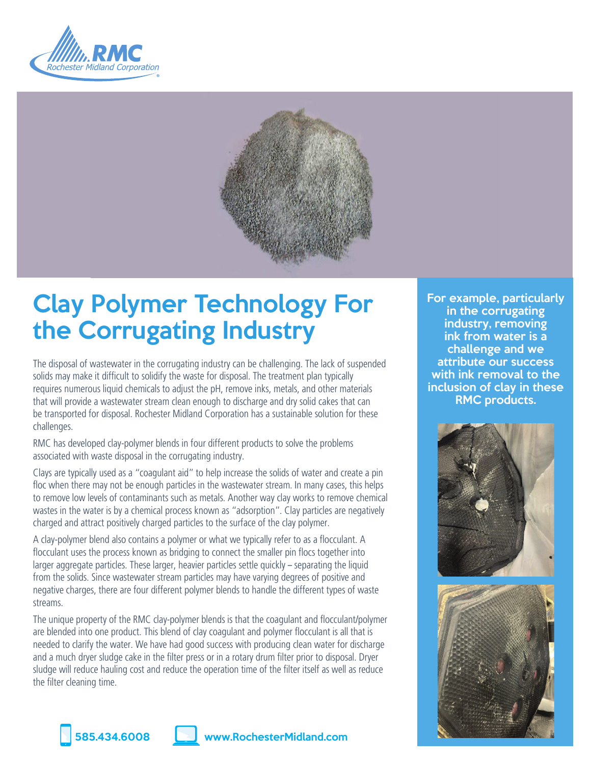



# Clay Polymer Technology For the Corrugating Industry

The disposal of wastewater in the corrugating industry can be challenging. The lack of suspended solids may make it difficult to solidify the waste for disposal. The treatment plan typically requires numerous liquid chemicals to adjust the pH, remove inks, metals, and other materials that will provide a wastewater stream clean enough to discharge and dry solid cakes that can be transported for disposal. Rochester Midland Corporation has a sustainable solution for these challenges.

RMC has developed clay-polymer blends in four different products to solve the problems associated with waste disposal in the corrugating industry.

Clays are typically used as a "coagulant aid" to help increase the solids of water and create a pin floc when there may not be enough particles in the wastewater stream. In many cases, this helps to remove low levels of contaminants such as metals. Another way clay works to remove chemical wastes in the water is by a chemical process known as "adsorption". Clay particles are negatively charged and attract positively charged particles to the surface of the clay polymer.

A clay-polymer blend also contains a polymer or what we typically refer to as a flocculant. A flocculant uses the process known as bridging to connect the smaller pin flocs together into larger aggregate particles. These larger, heavier particles settle quickly – separating the liquid from the solids. Since wastewater stream particles may have varying degrees of positive and negative charges, there are four different polymer blends to handle the different types of waste streams.

The unique property of the RMC clay-polymer blends is that the coagulant and flocculant/polymer are blended into one product. This blend of clay coagulant and polymer flocculant is all that is needed to clarify the water. We have had good success with producing clean water for discharge and a much dryer sludge cake in the filter press or in a rotary drum filter prior to disposal. Dryer sludge will reduce hauling cost and reduce the operation time of the filter itself as well as reduce the filter cleaning time.

For example, particularly in the corrugating industry, removing ink from water is a challenge and we attribute our success with ink removal to the inclusion of clay in these RMC products.





585.434.6008 www.RochesterMidland.com